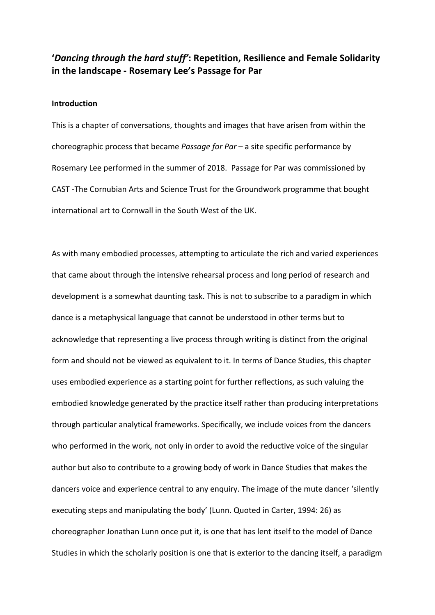# *'Dancing through the hard stuff'***: Repetition, Resilience and Female Solidarity in the landscape - Rosemary Lee's Passage for Par**

## **Introduction**

This is a chapter of conversations, thoughts and images that have arisen from within the choreographic process that became *Passage for Par* – a site specific performance by Rosemary Lee performed in the summer of 2018. Passage for Par was commissioned by CAST -The Cornubian Arts and Science Trust for the Groundwork programme that bought international art to Cornwall in the South West of the UK.

As with many embodied processes, attempting to articulate the rich and varied experiences that came about through the intensive rehearsal process and long period of research and development is a somewhat daunting task. This is not to subscribe to a paradigm in which dance is a metaphysical language that cannot be understood in other terms but to acknowledge that representing a live process through writing is distinct from the original form and should not be viewed as equivalent to it. In terms of Dance Studies, this chapter uses embodied experience as a starting point for further reflections, as such valuing the embodied knowledge generated by the practice itself rather than producing interpretations through particular analytical frameworks. Specifically, we include voices from the dancers who performed in the work, not only in order to avoid the reductive voice of the singular author but also to contribute to a growing body of work in Dance Studies that makes the dancers voice and experience central to any enquiry. The image of the mute dancer 'silently executing steps and manipulating the body' (Lunn. Quoted in Carter, 1994: 26) as choreographer Jonathan Lunn once put it, is one that has lent itself to the model of Dance Studies in which the scholarly position is one that is exterior to the dancing itself, a paradigm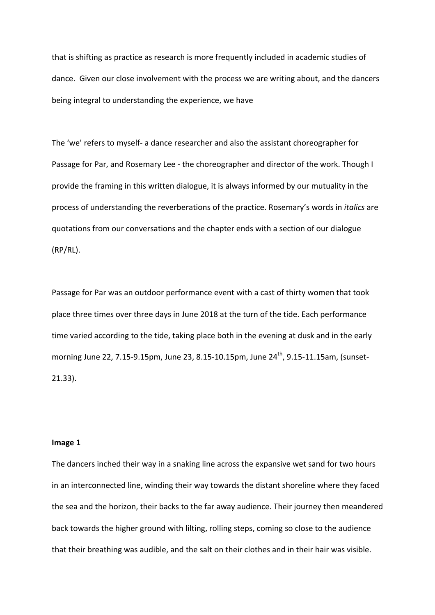that is shifting as practice as research is more frequently included in academic studies of dance. Given our close involvement with the process we are writing about, and the dancers being integral to understanding the experience, we have

The 'we' refers to myself- a dance researcher and also the assistant choreographer for Passage for Par, and Rosemary Lee - the choreographer and director of the work. Though I provide the framing in this written dialogue, it is always informed by our mutuality in the process of understanding the reverberations of the practice. Rosemary's words in *italics* are quotations from our conversations and the chapter ends with a section of our dialogue (RP/RL). 

Passage for Par was an outdoor performance event with a cast of thirty women that took place three times over three days in June 2018 at the turn of the tide. Each performance time varied according to the tide, taking place both in the evening at dusk and in the early morning June 22, 7.15-9.15pm, June 23, 8.15-10.15pm, June  $24^{\text{th}}$ , 9.15-11.15am, (sunset-21.33). 

#### **Image 1**

The dancers inched their way in a snaking line across the expansive wet sand for two hours in an interconnected line, winding their way towards the distant shoreline where they faced the sea and the horizon, their backs to the far away audience. Their journey then meandered back towards the higher ground with lilting, rolling steps, coming so close to the audience that their breathing was audible, and the salt on their clothes and in their hair was visible.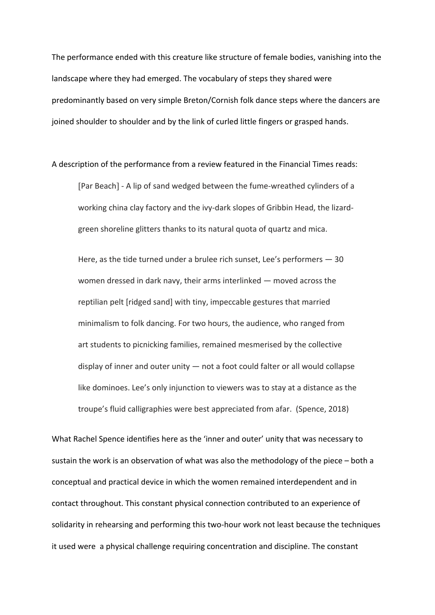The performance ended with this creature like structure of female bodies, vanishing into the landscape where they had emerged. The vocabulary of steps they shared were predominantly based on very simple Breton/Cornish folk dance steps where the dancers are joined shoulder to shoulder and by the link of curled little fingers or grasped hands.

A description of the performance from a review featured in the Financial Times reads: [Par Beach] - A lip of sand wedged between the fume-wreathed cylinders of a working china clay factory and the ivy-dark slopes of Gribbin Head, the lizardgreen shoreline glitters thanks to its natural quota of quartz and mica.

Here, as the tide turned under a brulee rich sunset, Lee's performers  $-30$ women dressed in dark navy, their arms interlinked  $-$  moved across the reptilian pelt [ridged sand] with tiny, impeccable gestures that married minimalism to folk dancing. For two hours, the audience, who ranged from art students to picnicking families, remained mesmerised by the collective display of inner and outer unity  $-$  not a foot could falter or all would collapse like dominoes. Lee's only injunction to viewers was to stay at a distance as the troupe's fluid calligraphies were best appreciated from afar. (Spence, 2018)

What Rachel Spence identifies here as the 'inner and outer' unity that was necessary to sustain the work is an observation of what was also the methodology of the piece  $-$  both a conceptual and practical device in which the women remained interdependent and in contact throughout. This constant physical connection contributed to an experience of solidarity in rehearsing and performing this two-hour work not least because the techniques it used were a physical challenge requiring concentration and discipline. The constant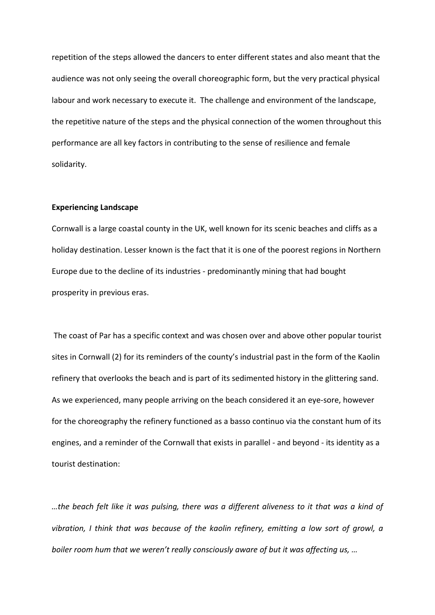repetition of the steps allowed the dancers to enter different states and also meant that the audience was not only seeing the overall choreographic form, but the very practical physical labour and work necessary to execute it. The challenge and environment of the landscape, the repetitive nature of the steps and the physical connection of the women throughout this performance are all key factors in contributing to the sense of resilience and female solidarity. 

## **Experiencing Landscape**

Cornwall is a large coastal county in the UK, well known for its scenic beaches and cliffs as a holiday destination. Lesser known is the fact that it is one of the poorest regions in Northern Europe due to the decline of its industries - predominantly mining that had bought prosperity in previous eras.

The coast of Par has a specific context and was chosen over and above other popular tourist sites in Cornwall (2) for its reminders of the county's industrial past in the form of the Kaolin refinery that overlooks the beach and is part of its sedimented history in the glittering sand. As we experienced, many people arriving on the beach considered it an eye-sore, however for the choreography the refinery functioned as a basso continuo via the constant hum of its engines, and a reminder of the Cornwall that exists in parallel - and beyond - its identity as a tourist destination:

*…the beach felt like it was pulsing, there was a different aliveness to it that was a kind of vibration, I think that was because of the kaolin refinery, emitting a low sort of growl, a boiler room hum that we weren't really consciously aware of but it was affecting us, ...*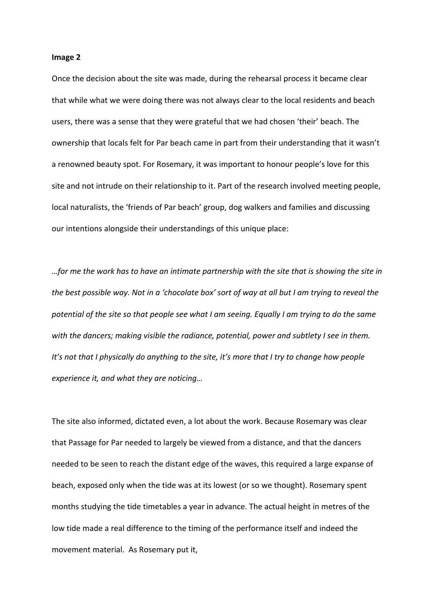#### **Image 2**

Once the decision about the site was made, during the rehearsal process it became clear that while what we were doing there was not always clear to the local residents and beach users, there was a sense that they were grateful that we had chosen 'their' beach. The ownership that locals felt for Par beach came in part from their understanding that it wasn't a renowned beauty spot. For Rosemary, it was important to honour people's love for this site and not intrude on their relationship to it. Part of the research involved meeting people, local naturalists, the 'friends of Par beach' group, dog walkers and families and discussing our intentions alongside their understandings of this unique place:

*…for me the work has to have an intimate partnership with the site that is showing the site in the best possible way. Not in a 'chocolate box' sort of way at all but I am trying to reveal the* potential of the site so that people see what I am seeing. Equally I am trying to do the same with the dancers; making visible the radiance, potential, power and subtlety I see in them. It's not that I physically do anything to the site, it's more that I try to change how people *experience it, and what they are noticing...* 

The site also informed, dictated even, a lot about the work. Because Rosemary was clear that Passage for Par needed to largely be viewed from a distance, and that the dancers needed to be seen to reach the distant edge of the waves, this required a large expanse of beach, exposed only when the tide was at its lowest (or so we thought). Rosemary spent months studying the tide timetables a year in advance. The actual height in metres of the low tide made a real difference to the timing of the performance itself and indeed the movement material. As Rosemary put it,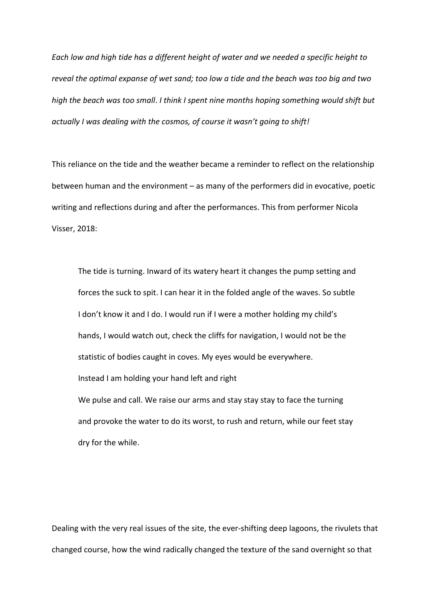Each low and high tide has a different height of water and we needed a specific height to reveal the optimal expanse of wet sand; too low a tide and the beach was too big and two *high* the beach was too small. I think I spent nine months hoping something would shift but *actually I* was dealing with the cosmos, of course it wasn't going to shift!

This reliance on the tide and the weather became a reminder to reflect on the relationship between human and the environment  $-$  as many of the performers did in evocative, poetic writing and reflections during and after the performances. This from performer Nicola Visser, 2018: 

The tide is turning. Inward of its watery heart it changes the pump setting and forces the suck to spit. I can hear it in the folded angle of the waves. So subtle I don't know it and I do. I would run if I were a mother holding my child's hands, I would watch out, check the cliffs for navigation, I would not be the statistic of bodies caught in coves. My eyes would be everywhere. Instead I am holding your hand left and right We pulse and call. We raise our arms and stay stay stay to face the turning and provoke the water to do its worst, to rush and return, while our feet stay dry for the while.

Dealing with the very real issues of the site, the ever-shifting deep lagoons, the rivulets that changed course, how the wind radically changed the texture of the sand overnight so that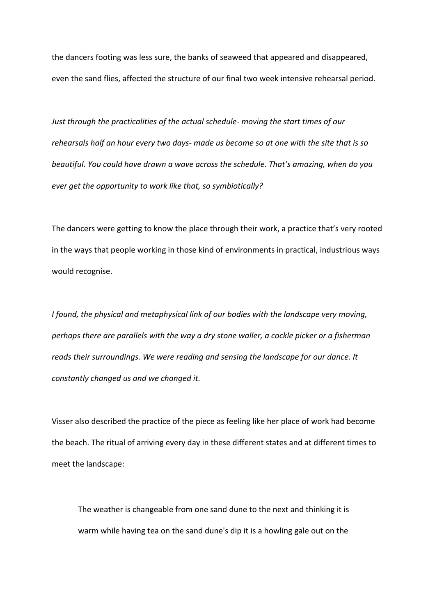the dancers footing was less sure, the banks of seaweed that appeared and disappeared, even the sand flies, affected the structure of our final two week intensive rehearsal period.

*Just through the practicalities of the actual schedule- moving the start times of our* rehearsals half an hour every two days- made us become so at one with the site that is so beautiful. You could have drawn a wave across the schedule. That's amazina, when do you ever get the opportunity to work like that, so symbiotically?

The dancers were getting to know the place through their work, a practice that's very rooted in the ways that people working in those kind of environments in practical, industrious ways would recognise.

*I* found, the physical and metaphysical link of our bodies with the landscape very moving, *perhaps* there are parallels with the way a dry stone waller, a cockle picker or a fisherman reads their surroundings. We were reading and sensing the landscape for our dance. It *constantly changed us and we changed it.* 

Visser also described the practice of the piece as feeling like her place of work had become the beach. The ritual of arriving every day in these different states and at different times to meet the landscape:

The weather is changeable from one sand dune to the next and thinking it is warm while having tea on the sand dune's dip it is a howling gale out on the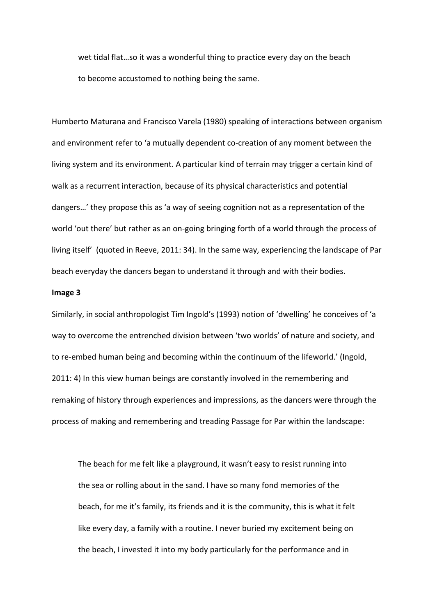wet tidal flat…so it was a wonderful thing to practice every day on the beach to become accustomed to nothing being the same.

Humberto Maturana and Francisco Varela (1980) speaking of interactions between organism and environment refer to 'a mutually dependent co-creation of any moment between the living system and its environment. A particular kind of terrain may trigger a certain kind of walk as a recurrent interaction, because of its physical characteristics and potential dangers...' they propose this as 'a way of seeing cognition not as a representation of the world 'out there' but rather as an on-going bringing forth of a world through the process of living itself' (quoted in Reeve, 2011: 34). In the same way, experiencing the landscape of Par beach everyday the dancers began to understand it through and with their bodies.

#### **Image 3**

Similarly, in social anthropologist Tim Ingold's (1993) notion of 'dwelling' he conceives of 'a way to overcome the entrenched division between 'two worlds' of nature and society, and to re-embed human being and becoming within the continuum of the lifeworld.' (Ingold, 2011: 4) In this view human beings are constantly involved in the remembering and remaking of history through experiences and impressions, as the dancers were through the process of making and remembering and treading Passage for Par within the landscape:

The beach for me felt like a playground, it wasn't easy to resist running into the sea or rolling about in the sand. I have so many fond memories of the beach, for me it's family, its friends and it is the community, this is what it felt like every day, a family with a routine. I never buried my excitement being on the beach, I invested it into my body particularly for the performance and in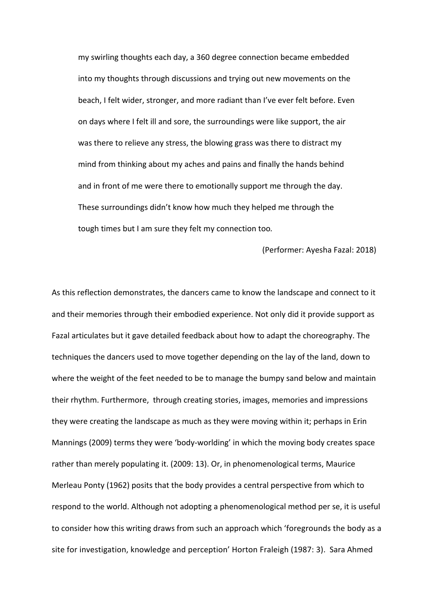my swirling thoughts each day, a 360 degree connection became embedded into my thoughts through discussions and trying out new movements on the beach, I felt wider, stronger, and more radiant than I've ever felt before. Even on days where I felt ill and sore, the surroundings were like support, the air was there to relieve any stress, the blowing grass was there to distract my mind from thinking about my aches and pains and finally the hands behind and in front of me were there to emotionally support me through the day. These surroundings didn't know how much they helped me through the tough times but I am sure they felt my connection too.

#### (Performer: Ayesha Fazal: 2018)

As this reflection demonstrates, the dancers came to know the landscape and connect to it and their memories through their embodied experience. Not only did it provide support as Fazal articulates but it gave detailed feedback about how to adapt the choreography. The techniques the dancers used to move together depending on the lay of the land, down to where the weight of the feet needed to be to manage the bumpy sand below and maintain their rhythm. Furthermore, through creating stories, images, memories and impressions they were creating the landscape as much as they were moving within it; perhaps in Erin Mannings (2009) terms they were 'body-worlding' in which the moving body creates space rather than merely populating it. (2009: 13). Or, in phenomenological terms, Maurice Merleau Ponty (1962) posits that the body provides a central perspective from which to respond to the world. Although not adopting a phenomenological method per se, it is useful to consider how this writing draws from such an approach which 'foregrounds the body as a site for investigation, knowledge and perception' Horton Fraleigh (1987: 3). Sara Ahmed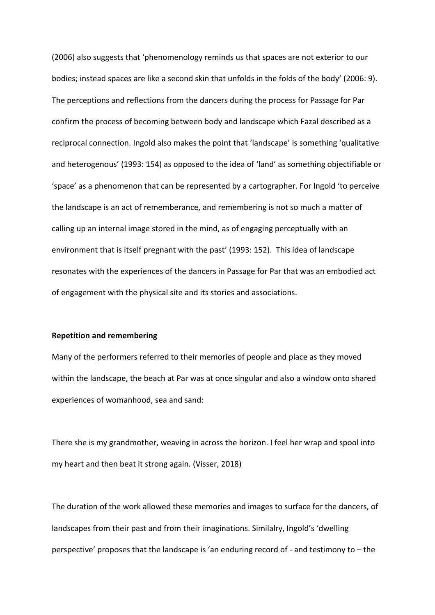(2006) also suggests that 'phenomenology reminds us that spaces are not exterior to our bodies; instead spaces are like a second skin that unfolds in the folds of the body' (2006: 9). The perceptions and reflections from the dancers during the process for Passage for Par confirm the process of becoming between body and landscape which Fazal described as a reciprocal connection. Ingold also makes the point that 'landscape' is something 'qualitative and heterogenous' (1993: 154) as opposed to the idea of 'land' as something objectifiable or 'space' as a phenomenon that can be represented by a cartographer. For Ingold 'to perceive the landscape is an act of rememberance, and remembering is not so much a matter of calling up an internal image stored in the mind, as of engaging perceptually with an environment that is itself pregnant with the past' (1993: 152). This idea of landscape resonates with the experiences of the dancers in Passage for Par that was an embodied act of engagement with the physical site and its stories and associations.

## **Repetition and remembering**

Many of the performers referred to their memories of people and place as they moved within the landscape, the beach at Par was at once singular and also a window onto shared experiences of womanhood, sea and sand:

There she is my grandmother, weaving in across the horizon. I feel her wrap and spool into my heart and then beat it strong again. (Visser, 2018)

The duration of the work allowed these memories and images to surface for the dancers, of landscapes from their past and from their imaginations. Similalry, Ingold's 'dwelling perspective' proposes that the landscape is 'an enduring record of - and testimony to  $-$  the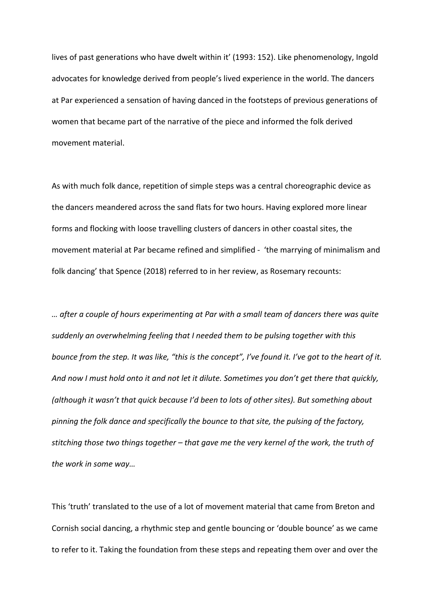lives of past generations who have dwelt within it' (1993: 152). Like phenomenology, Ingold advocates for knowledge derived from people's lived experience in the world. The dancers at Par experienced a sensation of having danced in the footsteps of previous generations of women that became part of the narrative of the piece and informed the folk derived movement material.

As with much folk dance, repetition of simple steps was a central choreographic device as the dancers meandered across the sand flats for two hours. Having explored more linear forms and flocking with loose travelling clusters of dancers in other coastal sites, the movement material at Par became refined and simplified - 'the marrying of minimalism and folk dancing' that Spence (2018) referred to in her review, as Rosemary recounts:

*… after a couple of hours experimenting at Par with a small team of dancers there was quite*  suddenly an overwhelming feeling that I needed them to be pulsing together with this *bounce from the step. It was like, "this is the concept", I've found it. I've got to the heart of it.* And now I must hold onto it and not let it dilute. Sometimes you don't get there that quickly, (although it wasn't that quick because I'd been to lots of other sites). But something about pinning the folk dance and specifically the bounce to that site, the pulsing of the factory, stitching those two things together – that gave me the very kernel of the work, the truth of the work in some way...

This 'truth' translated to the use of a lot of movement material that came from Breton and Cornish social dancing, a rhythmic step and gentle bouncing or 'double bounce' as we came to refer to it. Taking the foundation from these steps and repeating them over and over the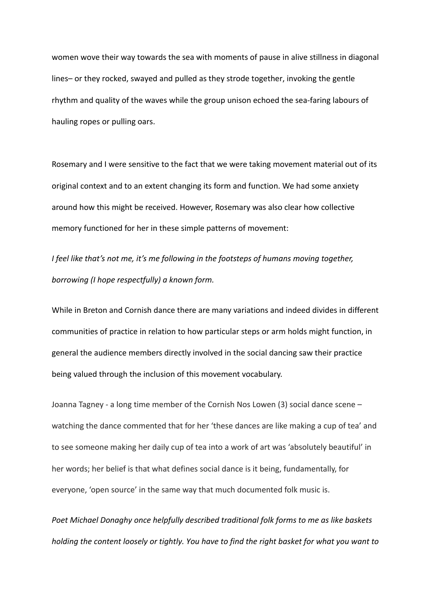women wove their way towards the sea with moments of pause in alive stillness in diagonal lines– or they rocked, swayed and pulled as they strode together, invoking the gentle rhythm and quality of the waves while the group unison echoed the sea-faring labours of hauling ropes or pulling oars.

Rosemary and I were sensitive to the fact that we were taking movement material out of its original context and to an extent changing its form and function. We had some anxiety around how this might be received. However, Rosemary was also clear how collective memory functioned for her in these simple patterns of movement:

*I* feel like that's not me, it's me following in the footsteps of humans moving together, *borrowing* (*I* hope respectfully) a known form.

While in Breton and Cornish dance there are many variations and indeed divides in different communities of practice in relation to how particular steps or arm holds might function, in general the audience members directly involved in the social dancing saw their practice being valued through the inclusion of this movement vocabulary.

Joanna Tagney - a long time member of the Cornish Nos Lowen  $(3)$  social dance scene – watching the dance commented that for her 'these dances are like making a cup of tea' and to see someone making her daily cup of tea into a work of art was 'absolutely beautiful' in her words; her belief is that what defines social dance is it being, fundamentally, for everyone, 'open source' in the same way that much documented folk music is.

Poet Michael Donaghy once helpfully described traditional folk forms to me as like baskets *holding* the content loosely or tightly. You have to find the right basket for what you want to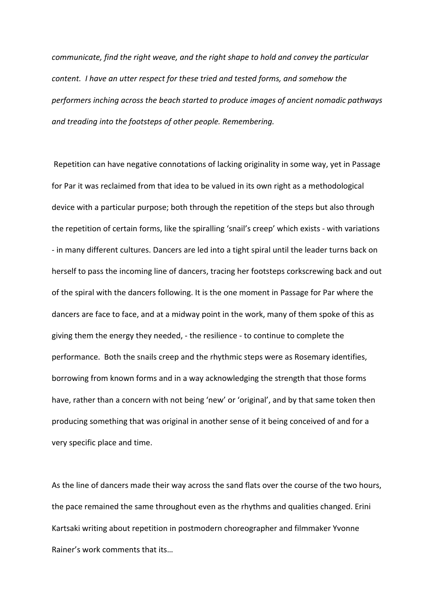*communicate, find the right weave, and the right shape to hold and convey the particular content.* I have an utter respect for these tried and tested forms, and somehow the performers inching across the beach started to produce images of ancient nomadic pathways and treading into the footsteps of other people. Remembering.

Repetition can have negative connotations of lacking originality in some way, yet in Passage for Par it was reclaimed from that idea to be valued in its own right as a methodological device with a particular purpose; both through the repetition of the steps but also through the repetition of certain forms, like the spiralling 'snail's creep' which exists - with variations - in many different cultures. Dancers are led into a tight spiral until the leader turns back on herself to pass the incoming line of dancers, tracing her footsteps corkscrewing back and out of the spiral with the dancers following. It is the one moment in Passage for Par where the dancers are face to face, and at a midway point in the work, many of them spoke of this as giving them the energy they needed, - the resilience - to continue to complete the performance. Both the snails creep and the rhythmic steps were as Rosemary identifies, borrowing from known forms and in a way acknowledging the strength that those forms have, rather than a concern with not being 'new' or 'original', and by that same token then producing something that was original in another sense of it being conceived of and for a very specific place and time.

As the line of dancers made their way across the sand flats over the course of the two hours, the pace remained the same throughout even as the rhythms and qualities changed. Erini Kartsaki writing about repetition in postmodern choreographer and filmmaker Yvonne Rainer's work comments that its...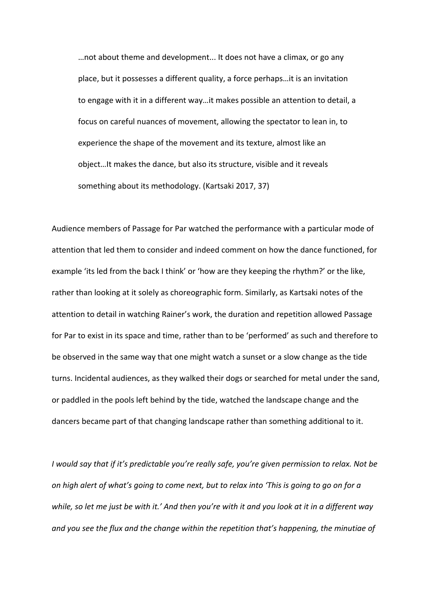...not about theme and development... It does not have a climax, or go any place, but it possesses a different quality, a force perhaps...it is an invitation to engage with it in a different way...it makes possible an attention to detail, a focus on careful nuances of movement, allowing the spectator to lean in, to experience the shape of the movement and its texture, almost like an object...It makes the dance, but also its structure, visible and it reveals something about its methodology. (Kartsaki 2017, 37)

Audience members of Passage for Par watched the performance with a particular mode of attention that led them to consider and indeed comment on how the dance functioned, for example 'its led from the back I think' or 'how are they keeping the rhythm?' or the like, rather than looking at it solely as choreographic form. Similarly, as Kartsaki notes of the attention to detail in watching Rainer's work, the duration and repetition allowed Passage for Par to exist in its space and time, rather than to be 'performed' as such and therefore to be observed in the same way that one might watch a sunset or a slow change as the tide turns. Incidental audiences, as they walked their dogs or searched for metal under the sand, or paddled in the pools left behind by the tide, watched the landscape change and the dancers became part of that changing landscape rather than something additional to it.

*I* would say that if it's predictable you're really safe, you're given permission to relax. Not be *on* high alert of what's going to come next, but to relax into 'This is going to go on for a while, so let me just be with it.' And then you're with it and you look at it in a different way and you see the flux and the change within the repetition that's happening, the minutiae of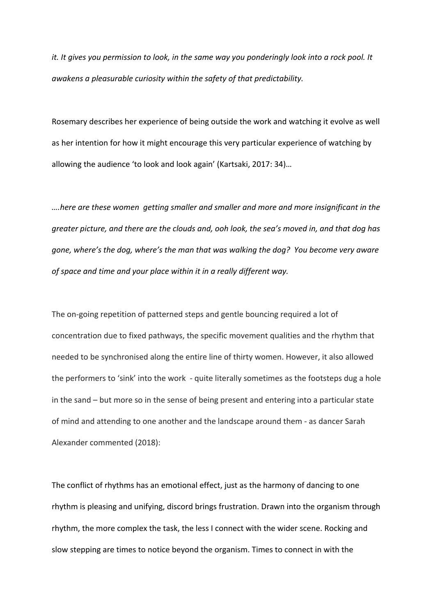*it.* It gives you permission to look, in the same way you ponderingly look into a rock pool. It awakens a pleasurable curiosity within the safety of that predictability.

Rosemary describes her experience of being outside the work and watching it evolve as well as her intention for how it might encourage this very particular experience of watching by allowing the audience 'to look and look again' (Kartsaki, 2017: 34)...

*….here* are these women getting smaller and smaller and more and more insignificant in the *greater picture, and there are the clouds and, ooh look, the sea's moved in, and that dog has* gone, where's the dog, where's the man that was walking the dog? You become very aware *of space and time and your place within it in a really different way.* 

The on-going repetition of patterned steps and gentle bouncing required a lot of concentration due to fixed pathways, the specific movement qualities and the rhythm that needed to be synchronised along the entire line of thirty women. However, it also allowed the performers to 'sink' into the work - quite literally sometimes as the footsteps dug a hole in the sand  $-$  but more so in the sense of being present and entering into a particular state of mind and attending to one another and the landscape around them - as dancer Sarah Alexander commented (2018):

The conflict of rhythms has an emotional effect, just as the harmony of dancing to one rhythm is pleasing and unifying, discord brings frustration. Drawn into the organism through rhythm, the more complex the task, the less I connect with the wider scene. Rocking and slow stepping are times to notice beyond the organism. Times to connect in with the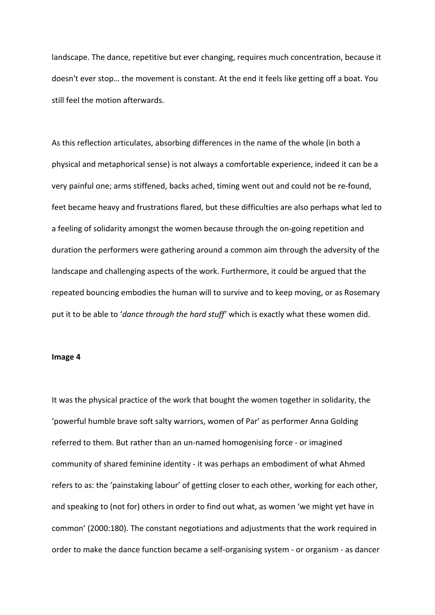landscape. The dance, repetitive but ever changing, requires much concentration, because it doesn't ever stop... the movement is constant. At the end it feels like getting off a boat. You still feel the motion afterwards.

As this reflection articulates, absorbing differences in the name of the whole (in both a physical and metaphorical sense) is not always a comfortable experience, indeed it can be a very painful one; arms stiffened, backs ached, timing went out and could not be re-found, feet became heavy and frustrations flared, but these difficulties are also perhaps what led to a feeling of solidarity amongst the women because through the on-going repetition and duration the performers were gathering around a common aim through the adversity of the landscape and challenging aspects of the work. Furthermore, it could be argued that the repeated bouncing embodies the human will to survive and to keep moving, or as Rosemary put it to be able to '*dance through the hard stuff'* which is exactly what these women did.

# **Image 4**

It was the physical practice of the work that bought the women together in solidarity, the 'powerful humble brave soft salty warriors, women of Par' as performer Anna Golding referred to them. But rather than an un-named homogenising force - or imagined community of shared feminine identity - it was perhaps an embodiment of what Ahmed refers to as: the 'painstaking labour' of getting closer to each other, working for each other, and speaking to (not for) others in order to find out what, as women 'we might yet have in common' (2000:180). The constant negotiations and adjustments that the work required in order to make the dance function became a self-organising system - or organism - as dancer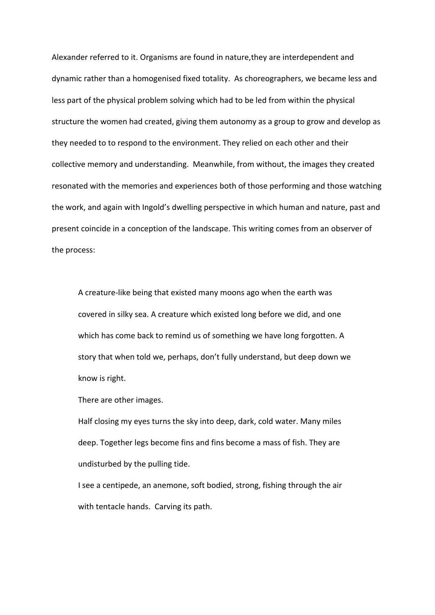Alexander referred to it. Organisms are found in nature, they are interdependent and dynamic rather than a homogenised fixed totality. As choreographers, we became less and less part of the physical problem solving which had to be led from within the physical structure the women had created, giving them autonomy as a group to grow and develop as they needed to to respond to the environment. They relied on each other and their collective memory and understanding. Meanwhile, from without, the images they created resonated with the memories and experiences both of those performing and those watching the work, and again with Ingold's dwelling perspective in which human and nature, past and present coincide in a conception of the landscape. This writing comes from an observer of the process:

A creature-like being that existed many moons ago when the earth was covered in silky sea. A creature which existed long before we did, and one which has come back to remind us of something we have long forgotten. A story that when told we, perhaps, don't fully understand, but deep down we know is right.

There are other images.

Half closing my eyes turns the sky into deep, dark, cold water. Many miles deep. Together legs become fins and fins become a mass of fish. They are undisturbed by the pulling tide.

I see a centipede, an anemone, soft bodied, strong, fishing through the air with tentacle hands. Carving its path.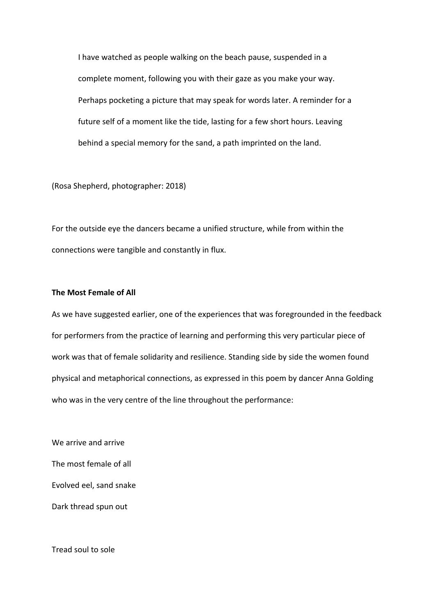I have watched as people walking on the beach pause, suspended in a complete moment, following you with their gaze as you make your way. Perhaps pocketing a picture that may speak for words later. A reminder for a future self of a moment like the tide, lasting for a few short hours. Leaving behind a special memory for the sand, a path imprinted on the land.

(Rosa Shepherd, photographer: 2018)

For the outside eye the dancers became a unified structure, while from within the connections were tangible and constantly in flux.

# **The Most Female of All**

As we have suggested earlier, one of the experiences that was foregrounded in the feedback for performers from the practice of learning and performing this very particular piece of work was that of female solidarity and resilience. Standing side by side the women found physical and metaphorical connections, as expressed in this poem by dancer Anna Golding who was in the very centre of the line throughout the performance:

We arrive and arrive The most female of all Evolved eel, sand snake Dark thread spun out

Tread soul to sole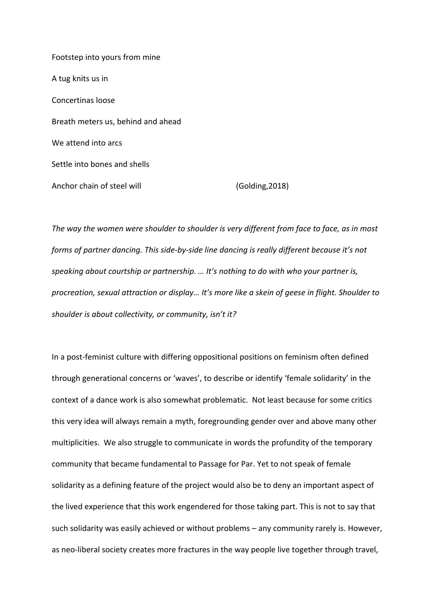Footstep into yours from mine A tug knits us in Concertinas loose Breath meters us, behind and ahead We attend into arcs Settle into bones and shells Anchor chain of steel will (Golding, 2018)

The way the women were shoulder to shoulder is very different from face to face, as in most *forms of partner dancing. This side-by-side line dancing is really different because it's not speaking about courtship or partnership. ...* It's nothing to do with who your partner is, procreation, sexual attraction or display... It's more like a skein of geese in flight. Shoulder to shoulder is about collectivity, or community, isn't it?

In a post-feminist culture with differing oppositional positions on feminism often defined through generational concerns or 'waves', to describe or identify 'female solidarity' in the context of a dance work is also somewhat problematic. Not least because for some critics this very idea will always remain a myth, foregrounding gender over and above many other multiplicities. We also struggle to communicate in words the profundity of the temporary community that became fundamental to Passage for Par. Yet to not speak of female solidarity as a defining feature of the project would also be to deny an important aspect of the lived experience that this work engendered for those taking part. This is not to say that such solidarity was easily achieved or without problems – any community rarely is. However, as neo-liberal society creates more fractures in the way people live together through travel,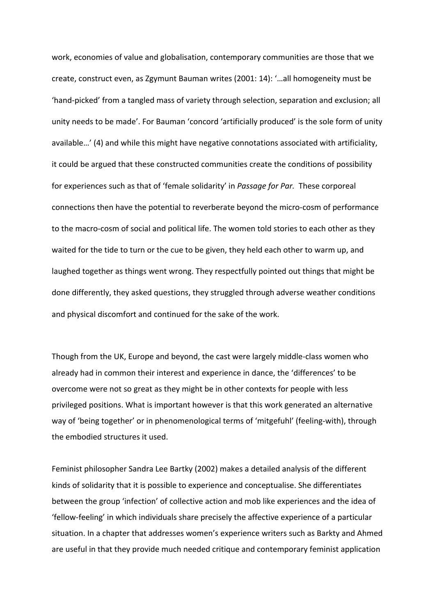work, economies of value and globalisation, contemporary communities are those that we create, construct even, as Zgymunt Bauman writes (2001: 14): '...all homogeneity must be 'hand-picked' from a tangled mass of variety through selection, separation and exclusion; all unity needs to be made'. For Bauman 'concord 'artificially produced' is the sole form of unity available...' (4) and while this might have negative connotations associated with artificiality, it could be argued that these constructed communities create the conditions of possibility for experiences such as that of 'female solidarity' in *Passage for Par.* These corporeal connections then have the potential to reverberate beyond the micro-cosm of performance to the macro-cosm of social and political life. The women told stories to each other as they waited for the tide to turn or the cue to be given, they held each other to warm up, and laughed together as things went wrong. They respectfully pointed out things that might be done differently, they asked questions, they struggled through adverse weather conditions and physical discomfort and continued for the sake of the work.

Though from the UK, Europe and beyond, the cast were largely middle-class women who already had in common their interest and experience in dance, the 'differences' to be overcome were not so great as they might be in other contexts for people with less privileged positions. What is important however is that this work generated an alternative way of 'being together' or in phenomenological terms of 'mitgefuhl' (feeling-with), through the embodied structures it used.

Feminist philosopher Sandra Lee Bartky (2002) makes a detailed analysis of the different kinds of solidarity that it is possible to experience and conceptualise. She differentiates between the group 'infection' of collective action and mob like experiences and the idea of 'fellow-feeling' in which individuals share precisely the affective experience of a particular situation. In a chapter that addresses women's experience writers such as Barkty and Ahmed are useful in that they provide much needed critique and contemporary feminist application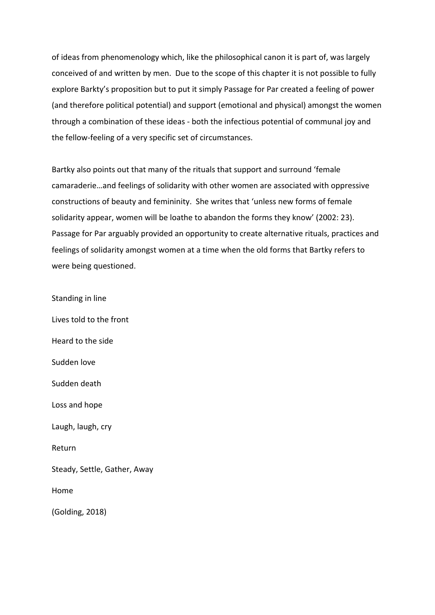of ideas from phenomenology which, like the philosophical canon it is part of, was largely conceived of and written by men. Due to the scope of this chapter it is not possible to fully explore Barkty's proposition but to put it simply Passage for Par created a feeling of power (and therefore political potential) and support (emotional and physical) amongst the women through a combination of these ideas - both the infectious potential of communal joy and the fellow-feeling of a very specific set of circumstances.

Bartky also points out that many of the rituals that support and surround 'female camaraderie...and feelings of solidarity with other women are associated with oppressive constructions of beauty and femininity. She writes that 'unless new forms of female solidarity appear, women will be loathe to abandon the forms they know' (2002: 23). Passage for Par arguably provided an opportunity to create alternative rituals, practices and feelings of solidarity amongst women at a time when the old forms that Bartky refers to were being questioned.

Standing in line Lives told to the front Heard to the side Sudden love Sudden death Loss and hope Laugh, laugh, cry Return Steady, Settle, Gather, Away Home (Golding, 2018)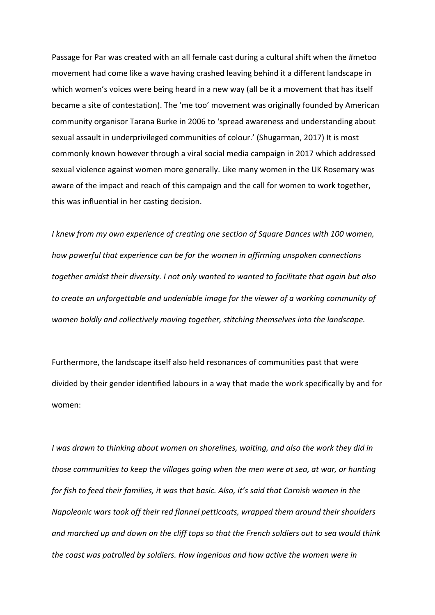Passage for Par was created with an all female cast during a cultural shift when the #metoo movement had come like a wave having crashed leaving behind it a different landscape in which women's voices were being heard in a new way (all be it a movement that has itself became a site of contestation). The 'me too' movement was originally founded by American community organisor Tarana Burke in 2006 to 'spread awareness and understanding about sexual assault in underprivileged communities of colour.' (Shugarman, 2017) It is most commonly known however through a viral social media campaign in 2017 which addressed sexual violence against women more generally. Like many women in the UK Rosemary was aware of the impact and reach of this campaign and the call for women to work together, this was influential in her casting decision.

*I* knew from my own experience of creating one section of Square Dances with 100 women, *how powerful that experience can be for the women in affirming unspoken connections* together amidst their diversity. I not only wanted to wanted to facilitate that again but also to create an unforgettable and undeniable image for the viewer of a working community of *women boldly and collectively moving together, stitching themselves into the landscape.* 

Furthermore, the landscape itself also held resonances of communities past that were divided by their gender identified labours in a way that made the work specifically by and for women: 

*I* was drawn to thinking about women on shorelines, waiting, and also the work they did in *those communities to keep the villages going when the men were at sea, at war, or hunting* for fish to feed their families, it was that basic. Also, it's said that Cornish women in the *Napoleonic* wars took off their red flannel petticoats, wrapped them around their shoulders and marched up and down on the cliff tops so that the French soldiers out to sea would think *the coast was patrolled by soldiers. How ingenious and how active the women were in*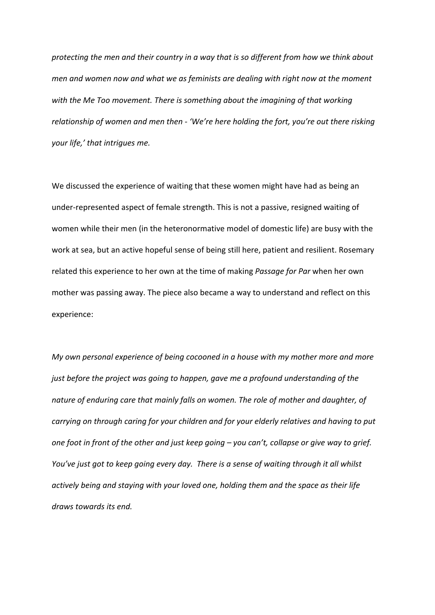protecting the men and their country in a way that is so different from how we think about *men and women now and what we as feminists are dealing with right now at the moment* with the Me Too movement. There is something about the imagining of that working *relationship of women and men then - 'We're here holding the fort, you're out there risking your life,'* that intrigues me.

We discussed the experience of waiting that these women might have had as being an under-represented aspect of female strength. This is not a passive, resigned waiting of women while their men (in the heteronormative model of domestic life) are busy with the work at sea, but an active hopeful sense of being still here, patient and resilient. Rosemary related this experience to her own at the time of making *Passage for Par* when her own mother was passing away. The piece also became a way to understand and reflect on this experience: 

*My* own personal experience of being cocooned in a house with my mother more and more *just before the project was going to happen, gave me a profound understanding of the* nature of enduring care that mainly falls on women. The role of mother and daughter, of *carrying* on through caring for your children and for your elderly relatives and having to put *one foot in front of the other and just keep going – you can't, collapse or give way to grief. You've just got to keep going every day. There is a sense of waiting through it all whilst actively being and staying with your loved one, holding them and the space as their life* draws towards its end.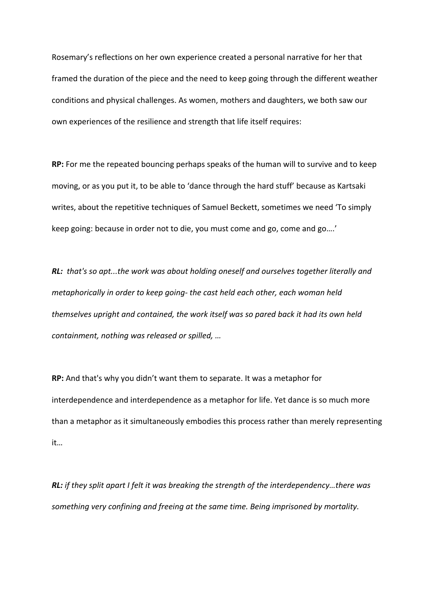Rosemary's reflections on her own experience created a personal narrative for her that framed the duration of the piece and the need to keep going through the different weather conditions and physical challenges. As women, mothers and daughters, we both saw our own experiences of the resilience and strength that life itself requires:

**RP:** For me the repeated bouncing perhaps speaks of the human will to survive and to keep moving, or as you put it, to be able to 'dance through the hard stuff' because as Kartsaki writes, about the repetitive techniques of Samuel Beckett, sometimes we need 'To simply keep going: because in order not to die, you must come and go, come and go....'

**RL:** that's so apt...the work was about holding oneself and ourselves together literally and *metaphorically* in order to keep going- the cast held each other, each woman held *themselves upright and contained, the work itself was so pared back it had its own held* containment, nothing was released or spilled, ...

**RP:** And that's why you didn't want them to separate. It was a metaphor for interdependence and interdependence as a metaphor for life. Yet dance is so much more than a metaphor as it simultaneously embodies this process rather than merely representing it…

**RL:** if they split apart I felt it was breaking the strength of the interdependency...there was something very confining and freeing at the same time. Being imprisoned by mortality.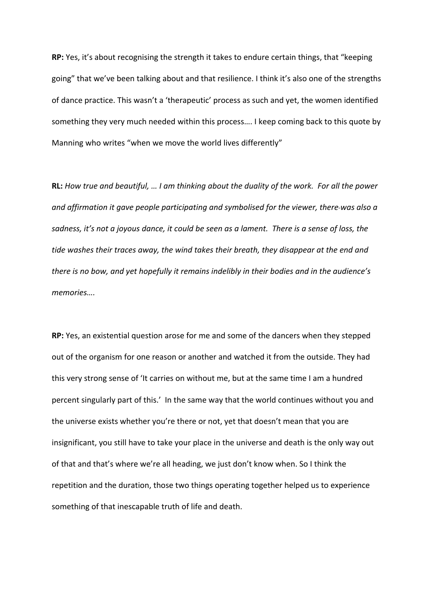**RP:** Yes, it's about recognising the strength it takes to endure certain things, that "keeping going" that we've been talking about and that resilience. I think it's also one of the strengths of dance practice. This wasn't a 'therapeutic' process as such and yet, the women identified something they very much needed within this process.... I keep coming back to this quote by Manning who writes "when we move the world lives differently"

**RL:** How true and beautiful, ... I am thinking about the duality of the work. For all the power and affirmation it gave people participating and symbolised for the viewer, there-was also a sadness, it's not a joyous dance, it could be seen as a lament. There is a sense of loss, the *tide* washes their traces away, the wind takes their breath, they disappear at the end and *there is no bow, and yet hopefully it remains indelibly in their bodies and in the audience's memories….*

**RP:** Yes, an existential question arose for me and some of the dancers when they stepped out of the organism for one reason or another and watched it from the outside. They had this very strong sense of 'It carries on without me, but at the same time I am a hundred percent singularly part of this.' In the same way that the world continues without you and the universe exists whether you're there or not, yet that doesn't mean that you are insignificant, you still have to take your place in the universe and death is the only way out of that and that's where we're all heading, we just don't know when. So I think the repetition and the duration, those two things operating together helped us to experience something of that inescapable truth of life and death.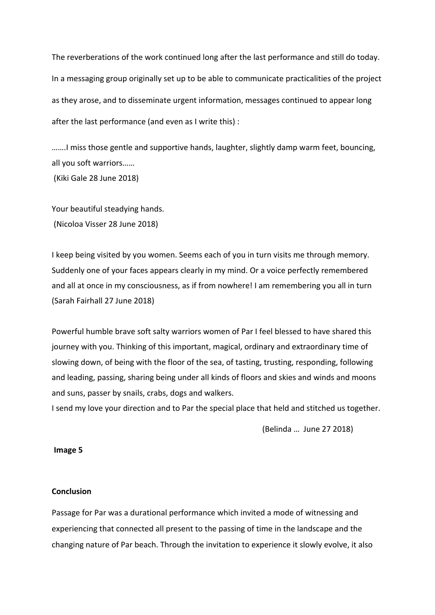The reverberations of the work continued long after the last performance and still do today. In a messaging group originally set up to be able to communicate practicalities of the project as they arose, and to disseminate urgent information, messages continued to appear long after the last performance (and even as I write this) :

.......I miss those gentle and supportive hands, laughter, slightly damp warm feet, bouncing, all you soft warriors......

(Kiki Gale 28 June 2018)

Your beautiful steadying hands. (Nicoloa Visser 28 June 2018)

I keep being visited by you women. Seems each of you in turn visits me through memory. Suddenly one of your faces appears clearly in my mind. Or a voice perfectly remembered and all at once in my consciousness, as if from nowhere! I am remembering you all in turn (Sarah Fairhall 27 June 2018)

Powerful humble brave soft salty warriors women of Par I feel blessed to have shared this journey with you. Thinking of this important, magical, ordinary and extraordinary time of slowing down, of being with the floor of the sea, of tasting, trusting, responding, following and leading, passing, sharing being under all kinds of floors and skies and winds and moons and suns, passer by snails, crabs, dogs and walkers.

I send my love your direction and to Par the special place that held and stitched us together.

(Belinda … June 27 2018)

## **Image 5**

## **Conclusion**

Passage for Par was a durational performance which invited a mode of witnessing and experiencing that connected all present to the passing of time in the landscape and the changing nature of Par beach. Through the invitation to experience it slowly evolve, it also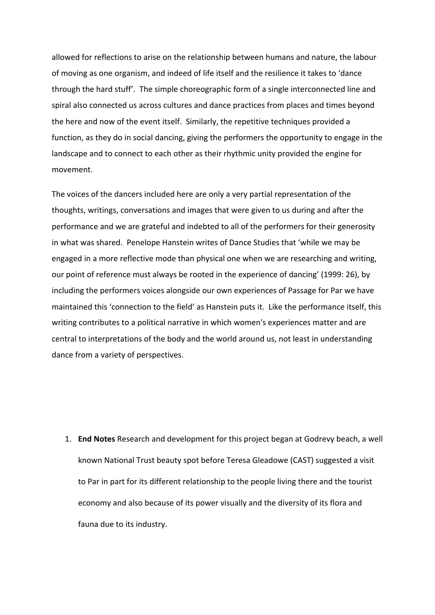allowed for reflections to arise on the relationship between humans and nature, the labour of moving as one organism, and indeed of life itself and the resilience it takes to 'dance through the hard stuff'. The simple choreographic form of a single interconnected line and spiral also connected us across cultures and dance practices from places and times beyond the here and now of the event itself. Similarly, the repetitive techniques provided a function, as they do in social dancing, giving the performers the opportunity to engage in the landscape and to connect to each other as their rhythmic unity provided the engine for movement.

The voices of the dancers included here are only a very partial representation of the thoughts, writings, conversations and images that were given to us during and after the performance and we are grateful and indebted to all of the performers for their generosity in what was shared. Penelope Hanstein writes of Dance Studies that 'while we may be engaged in a more reflective mode than physical one when we are researching and writing, our point of reference must always be rooted in the experience of dancing' (1999: 26), by including the performers voices alongside our own experiences of Passage for Par we have maintained this 'connection to the field' as Hanstein puts it. Like the performance itself, this writing contributes to a political narrative in which women's experiences matter and are central to interpretations of the body and the world around us, not least in understanding dance from a variety of perspectives.

1. **End Notes** Research and development for this project began at Godrevy beach, a well known National Trust beauty spot before Teresa Gleadowe (CAST) suggested a visit to Par in part for its different relationship to the people living there and the tourist economy and also because of its power visually and the diversity of its flora and fauna due to its industry.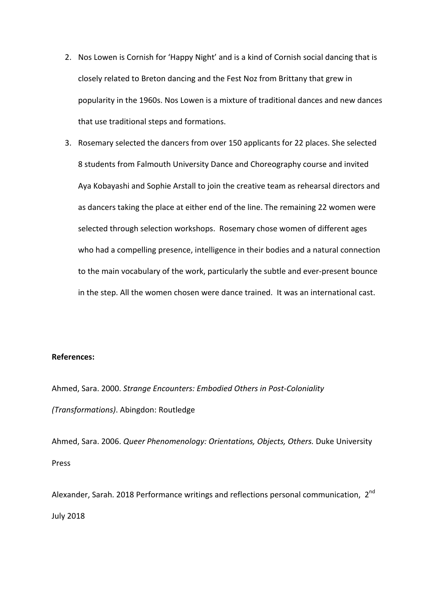- 2. Nos Lowen is Cornish for 'Happy Night' and is a kind of Cornish social dancing that is closely related to Breton dancing and the Fest Noz from Brittany that grew in popularity in the 1960s. Nos Lowen is a mixture of traditional dances and new dances that use traditional steps and formations.
- 3. Rosemary selected the dancers from over 150 applicants for 22 places. She selected 8 students from Falmouth University Dance and Choreography course and invited Aya Kobayashi and Sophie Arstall to join the creative team as rehearsal directors and as dancers taking the place at either end of the line. The remaining 22 women were selected through selection workshops. Rosemary chose women of different ages who had a compelling presence, intelligence in their bodies and a natural connection to the main vocabulary of the work, particularly the subtle and ever-present bounce in the step. All the women chosen were dance trained. It was an international cast.

## **References:**

Ahmed, Sara. 2000. *Strange Encounters: Embodied Others in Post-Coloniality (Transformations)*. Abingdon: Routledge 

Ahmed, Sara. 2006. *Queer Phenomenology: Orientations, Objects, Others.* Duke University Press

Alexander, Sarah. 2018 Performance writings and reflections personal communication, 2<sup>nd</sup> July 2018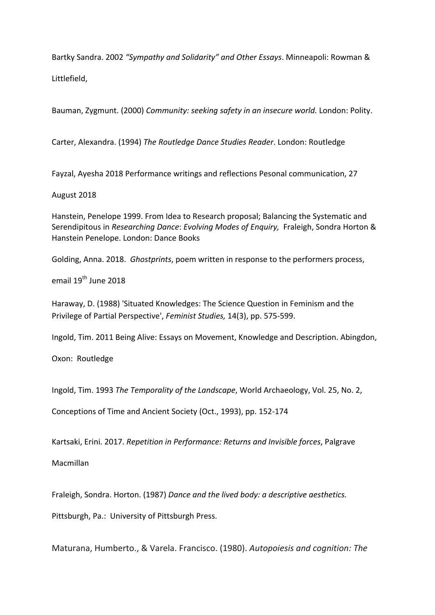Bartky Sandra. 2002 "Sympathy and Solidarity" and Other Essays. Minneapoli: Rowman & Littlefield,

Bauman, Zygmunt. (2000) *Community: seeking safety in an insecure world.* London: Polity.

Carter, Alexandra. (1994) The Routledge Dance Studies Reader. London: Routledge

Fayzal, Ayesha 2018 Performance writings and reflections Pesonal communication, 27

August 2018

Hanstein, Penelope 1999. From Idea to Research proposal; Balancing the Systematic and Serendipitous in *Researching Dance: Evolving Modes of Enquiry*, Fraleigh, Sondra Horton & Hanstein Penelope. London: Dance Books

Golding, Anna. 2018. *Ghostprints*, poem written in response to the performers process,

email 19<sup>th</sup> June 2018

Haraway, D. (1988) 'Situated Knowledges: The Science Question in Feminism and the Privilege of Partial Perspective', *Feminist Studies,* 14(3), pp. 575-599. 

Ingold, Tim. 2011 Being Alive: Essays on Movement, Knowledge and Description. Abingdon,

Oxon: Routledge

Ingold, Tim. 1993 *The Temporality of the Landscape*, World Archaeology, Vol. 25, No. 2,

Conceptions of Time and Ancient Society (Oct., 1993), pp. 152-174

Kartsaki, Erini. 2017. *Repetition in Performance: Returns and Invisible forces*, Palgrave

Macmillan 

Fraleigh, Sondra. Horton. (1987) Dance and the lived body: a descriptive aesthetics.

Pittsburgh, Pa.: University of Pittsburgh Press.

Maturana, Humberto., & Varela. Francisco. (1980). Autopoiesis and cognition: The